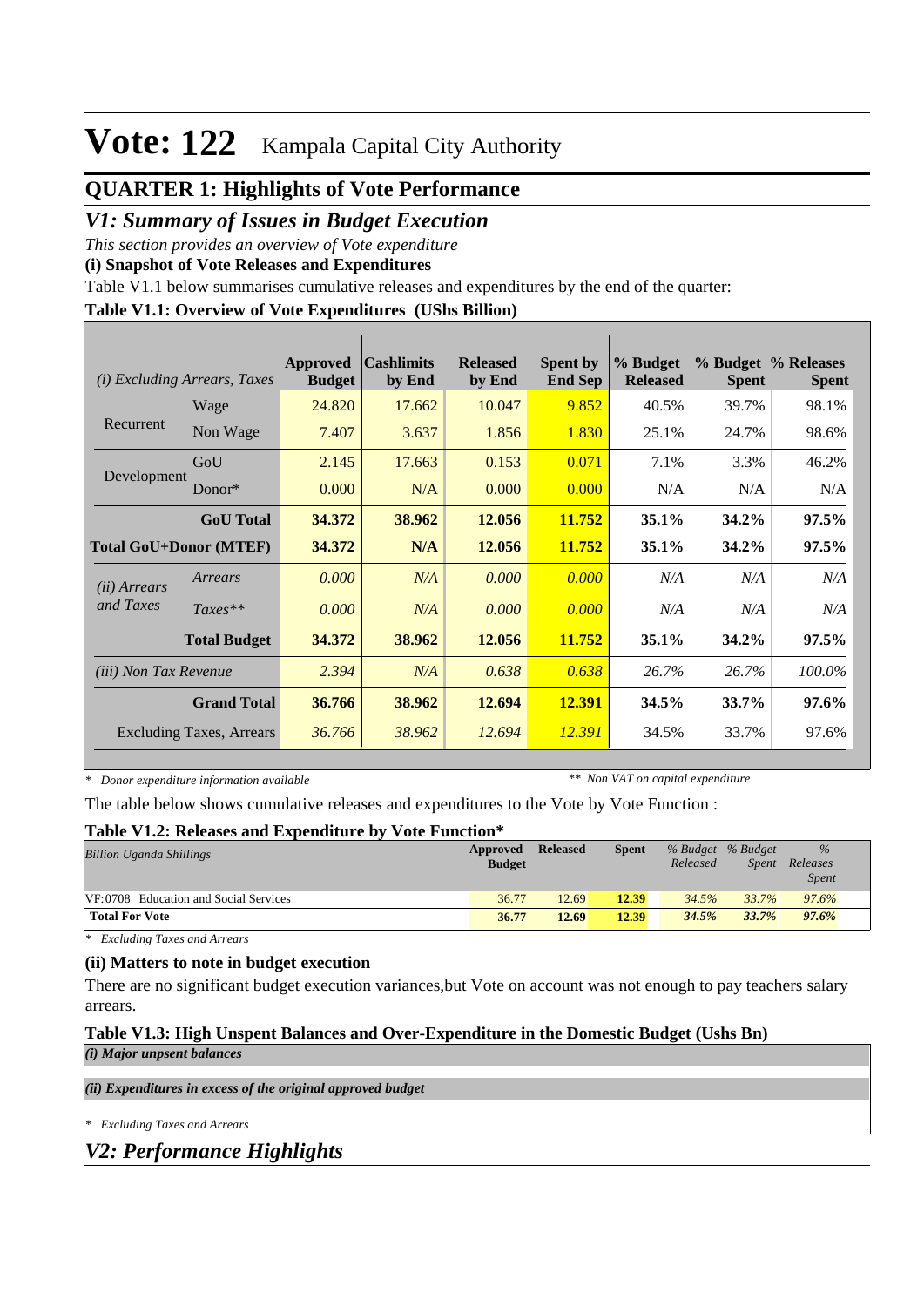## **QUARTER 1: Highlights of Vote Performance**

### *V1: Summary of Issues in Budget Execution*

*This section provides an overview of Vote expenditure* 

**(i) Snapshot of Vote Releases and Expenditures**

Table V1.1 below summarises cumulative releases and expenditures by the end of the quarter:

#### **Table V1.1: Overview of Vote Expenditures (UShs Billion)**

| (i)                           | <b>Excluding Arrears, Taxes</b> | Approved<br><b>Budget</b> | <b>Cashlimits</b><br>by End | <b>Released</b><br>by End | <b>Spent by</b><br><b>End Sep</b> | % Budget<br><b>Released</b> | <b>Spent</b> | % Budget % Releases<br><b>Spent</b> |
|-------------------------------|---------------------------------|---------------------------|-----------------------------|---------------------------|-----------------------------------|-----------------------------|--------------|-------------------------------------|
|                               | Wage                            | 24.820                    | 17.662                      | 10.047                    | 9.852                             | 40.5%                       | 39.7%        | 98.1%                               |
| Recurrent                     | Non Wage                        | 7.407                     | 3.637                       | 1.856                     | 1.830                             | 25.1%                       | 24.7%        | 98.6%                               |
|                               | GoU                             | 2.145                     | 17.663                      | 0.153                     | 0.071                             | 7.1%                        | 3.3%         | 46.2%                               |
| Development                   | $Donor*$                        | 0.000                     | N/A                         | 0.000                     | 0.000                             | N/A                         | N/A          | N/A                                 |
|                               | <b>GoU</b> Total                | 34.372                    | 38.962                      | 12.056                    | 11.752                            | $35.1\%$                    | 34.2%        | 97.5%                               |
| <b>Total GoU+Donor (MTEF)</b> |                                 | 34.372                    | N/A                         | 12.056                    | 11.752                            | 35.1%                       | 34.2%        | 97.5%                               |
| ( <i>ii</i> ) Arrears         | Arrears                         | 0.000                     | N/A                         | 0.000                     | 0.000                             | N/A                         | N/A          | N/A                                 |
| and Taxes                     | $Taxes**$                       | 0.000                     | N/A                         | 0.000                     | 0.000                             | N/A                         | N/A          | N/A                                 |
|                               | <b>Total Budget</b>             | 34.372                    | 38.962                      | 12.056                    | 11.752                            | 35.1%                       | 34.2%        | $97.5\%$                            |
| <i>(iii)</i> Non Tax Revenue  |                                 | 2.394                     | N/A                         | 0.638                     | 0.638                             | 26.7%                       | 26.7%        | 100.0%                              |
| <b>Grand Total</b>            |                                 | 36.766                    | 38.962                      | 12.694                    | 12.391                            | 34.5%                       | 33.7%        | 97.6%                               |
|                               | <b>Excluding Taxes, Arrears</b> | 36.766                    | 38.962                      | 12.694                    | 12.391                            | 34.5%                       | 33.7%        | 97.6%                               |

*\* Donor expenditure information available*

*\*\* Non VAT on capital expenditure*

The table below shows cumulative releases and expenditures to the Vote by Vote Function :

#### **Table V1.2: Releases and Expenditure by Vote Function\***

| <b>Billion Uganda Shillings</b>              | Approved<br><b>Budget</b> | <b>Released</b> | <b>Spent</b> | % Budget % Budget<br>Released | <i>Spent</i> | $\frac{9}{6}$<br>Releases<br><b>Spent</b> |
|----------------------------------------------|---------------------------|-----------------|--------------|-------------------------------|--------------|-------------------------------------------|
| <b>VF:0708</b> Education and Social Services | 36.77                     | 12.69           | 12.39        | 34.5%                         | 33.7%        | 97.6%                                     |
| <b>Total For Vote</b>                        | 36.77                     | 12.69           | 12.39        | 34.5%                         | 33.7%        | 97.6%                                     |

*\* Excluding Taxes and Arrears*

### **(ii) Matters to note in budget execution**

There are no significant budget execution variances,but Vote on account was not enough to pay teachers salary arrears.

### **Table V1.3: High Unspent Balances and Over-Expenditure in the Domestic Budget (Ushs Bn)**

*(i) Major unpsent balances*

*(ii) Expenditures in excess of the original approved budget*

*\* Excluding Taxes and Arrears*

*V2: Performance Highlights*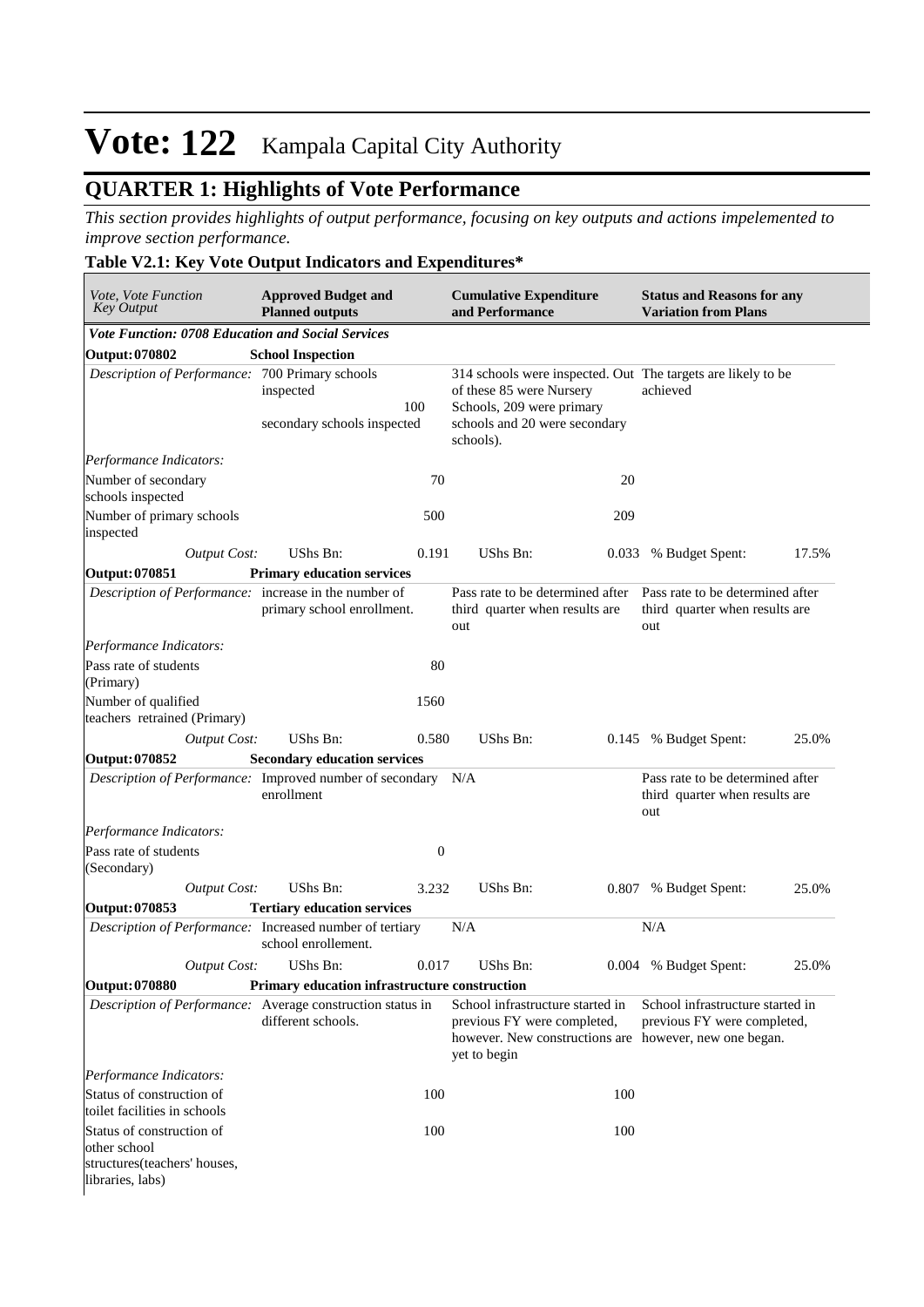## **QUARTER 1: Highlights of Vote Performance**

*This section provides highlights of output performance, focusing on key outputs and actions impelemented to improve section performance.*

### **Table V2.1: Key Vote Output Indicators and Expenditures\***

| Vote, Vote Function<br><b>Key Output</b>                                                      | <b>Approved Budget and</b><br><b>Planned outputs</b> |                                                                                                                                                                     | <b>Cumulative Expenditure</b><br>and Performance                                                                                          | <b>Status and Reasons for any</b><br><b>Variation from Plans</b> |                                                                           |       |
|-----------------------------------------------------------------------------------------------|------------------------------------------------------|---------------------------------------------------------------------------------------------------------------------------------------------------------------------|-------------------------------------------------------------------------------------------------------------------------------------------|------------------------------------------------------------------|---------------------------------------------------------------------------|-------|
| <b>Vote Function: 0708 Education and Social Services</b>                                      |                                                      |                                                                                                                                                                     |                                                                                                                                           |                                                                  |                                                                           |       |
| <b>Output: 070802</b>                                                                         | <b>School Inspection</b>                             |                                                                                                                                                                     |                                                                                                                                           |                                                                  |                                                                           |       |
| Description of Performance: 700 Primary schools                                               | inspected<br>100<br>secondary schools inspected      | 314 schools were inspected. Out The targets are likely to be<br>of these 85 were Nursery<br>Schools, 209 were primary<br>schools and 20 were secondary<br>schools). | achieved                                                                                                                                  |                                                                  |                                                                           |       |
| Performance Indicators:                                                                       |                                                      |                                                                                                                                                                     |                                                                                                                                           |                                                                  |                                                                           |       |
| Number of secondary<br>schools inspected                                                      |                                                      | 70                                                                                                                                                                  |                                                                                                                                           | 20                                                               |                                                                           |       |
| Number of primary schools<br>inspected                                                        |                                                      | 500                                                                                                                                                                 |                                                                                                                                           | 209                                                              |                                                                           |       |
| <b>Output Cost:</b>                                                                           | UShs Bn:                                             | 0.191                                                                                                                                                               | UShs Bn:                                                                                                                                  | 0.033                                                            | % Budget Spent:                                                           | 17.5% |
| <b>Output: 070851</b>                                                                         | <b>Primary education services</b>                    |                                                                                                                                                                     |                                                                                                                                           |                                                                  |                                                                           |       |
| Description of Performance: increase in the number of                                         | primary school enrollment.                           |                                                                                                                                                                     | Pass rate to be determined after<br>third quarter when results are<br>out                                                                 |                                                                  | Pass rate to be determined after<br>third quarter when results are<br>out |       |
| Performance Indicators:                                                                       |                                                      |                                                                                                                                                                     |                                                                                                                                           |                                                                  |                                                                           |       |
| Pass rate of students<br>(Primary)                                                            |                                                      | 80                                                                                                                                                                  |                                                                                                                                           |                                                                  |                                                                           |       |
| Number of qualified<br>teachers retrained (Primary)                                           |                                                      | 1560                                                                                                                                                                |                                                                                                                                           |                                                                  |                                                                           |       |
| <b>Output Cost:</b>                                                                           | UShs Bn:                                             | 0.580                                                                                                                                                               | UShs Bn:                                                                                                                                  |                                                                  | 0.145 % Budget Spent:                                                     | 25.0% |
| <b>Output: 070852</b>                                                                         | <b>Secondary education services</b>                  |                                                                                                                                                                     |                                                                                                                                           |                                                                  |                                                                           |       |
| Description of Performance: Improved number of secondary N/A                                  | enrollment                                           |                                                                                                                                                                     |                                                                                                                                           |                                                                  | Pass rate to be determined after<br>third quarter when results are<br>out |       |
| Performance Indicators:                                                                       |                                                      |                                                                                                                                                                     |                                                                                                                                           |                                                                  |                                                                           |       |
| Pass rate of students<br>(Secondary)                                                          |                                                      | $\boldsymbol{0}$                                                                                                                                                    |                                                                                                                                           |                                                                  |                                                                           |       |
| <b>Output Cost:</b>                                                                           | UShs Bn:                                             | 3.232                                                                                                                                                               | UShs Bn:                                                                                                                                  |                                                                  | 0.807 % Budget Spent:                                                     | 25.0% |
| Output: 070853                                                                                | <b>Tertiary education services</b>                   |                                                                                                                                                                     |                                                                                                                                           |                                                                  |                                                                           |       |
| Description of Performance: Increased number of tertiary                                      | school enrollement.                                  |                                                                                                                                                                     | N/A                                                                                                                                       |                                                                  | N/A                                                                       |       |
| <b>Output Cost:</b>                                                                           | UShs Bn:                                             | 0.017                                                                                                                                                               | <b>UShs Bn:</b>                                                                                                                           |                                                                  | 0.004 % Budget Spent:                                                     | 25.0% |
| <b>Output: 070880</b>                                                                         | Primary education infrastructure construction        |                                                                                                                                                                     |                                                                                                                                           |                                                                  |                                                                           |       |
| Description of Performance: Average construction status in                                    | different schools.                                   |                                                                                                                                                                     | School infrastructure started in<br>previous FY were completed,<br>however. New constructions are however, new one began.<br>yet to begin |                                                                  | School infrastructure started in<br>previous FY were completed,           |       |
| Performance Indicators:                                                                       |                                                      |                                                                                                                                                                     |                                                                                                                                           |                                                                  |                                                                           |       |
| Status of construction of<br>toilet facilities in schools                                     |                                                      | 100                                                                                                                                                                 |                                                                                                                                           | 100                                                              |                                                                           |       |
| Status of construction of<br>other school<br>structures(teachers' houses,<br>libraries, labs) |                                                      | 100                                                                                                                                                                 |                                                                                                                                           | 100                                                              |                                                                           |       |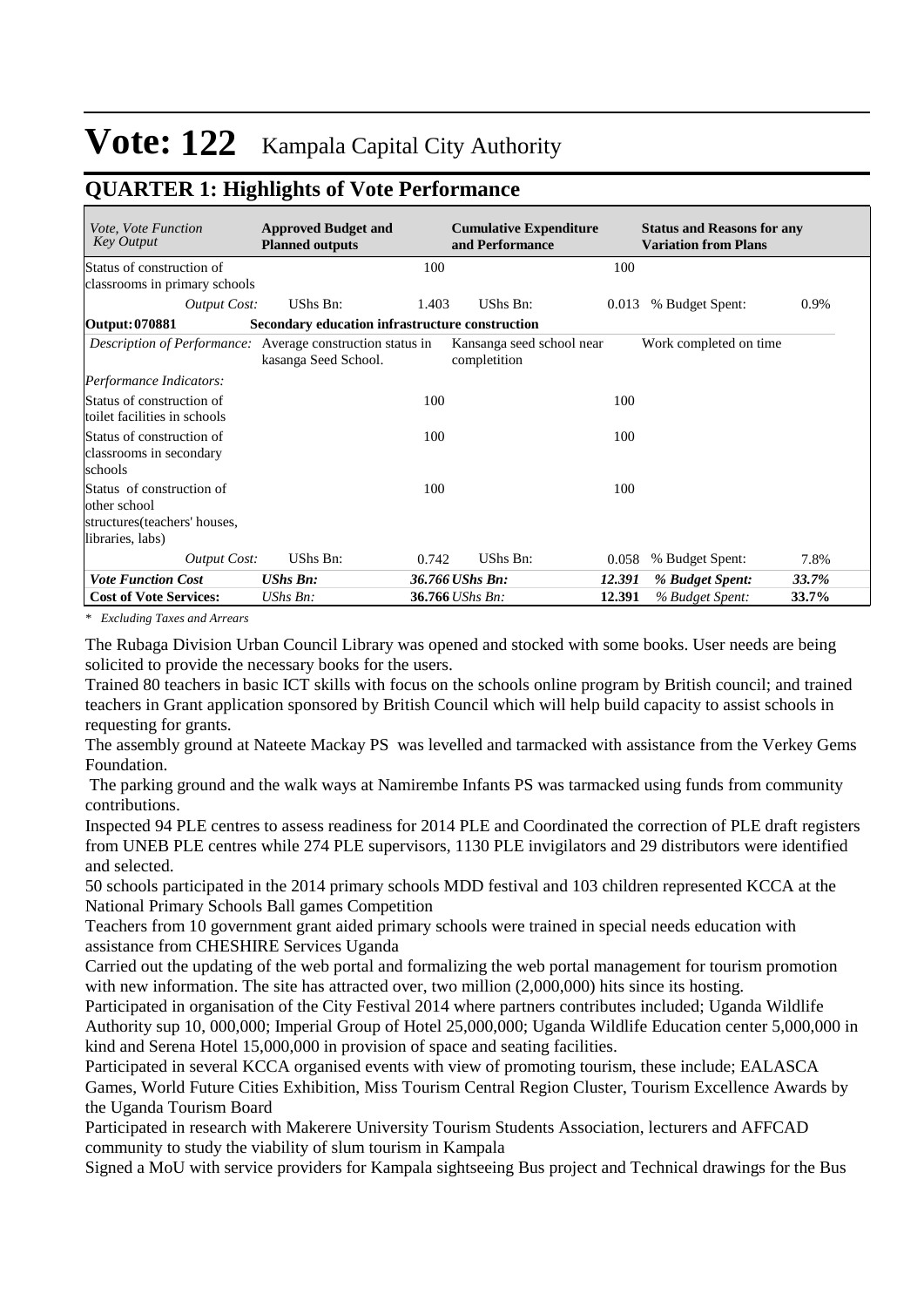## **QUARTER 1: Highlights of Vote Performance**

| <i>Vote, Vote Function</i><br><b>Key Output</b>                                                | <b>Approved Budget and</b><br><b>Planned outputs</b> |       | <b>Cumulative Expenditure</b><br>and Performance |        | <b>Status and Reasons for any</b><br><b>Variation from Plans</b> |       |
|------------------------------------------------------------------------------------------------|------------------------------------------------------|-------|--------------------------------------------------|--------|------------------------------------------------------------------|-------|
| Status of construction of<br>classrooms in primary schools                                     |                                                      | 100   |                                                  | 100    |                                                                  |       |
| <b>Output Cost:</b>                                                                            | UShs Bn:                                             | 1.403 | UShs Bn:                                         | 0.013  | % Budget Spent:                                                  | 0.9%  |
| Output: 070881                                                                                 | Secondary education infrastructure construction      |       |                                                  |        |                                                                  |       |
| <i>Description of Performance:</i> Average construction status in                              | kasanga Seed School.                                 |       | Kansanga seed school near<br>completition        |        | Work completed on time                                           |       |
| Performance Indicators:                                                                        |                                                      |       |                                                  |        |                                                                  |       |
| Status of construction of<br>toilet facilities in schools                                      |                                                      | 100   |                                                  | 100    |                                                                  |       |
| Status of construction of<br>classrooms in secondary<br>schools                                |                                                      | 100   |                                                  | 100    |                                                                  |       |
| Status of construction of<br>other school<br>structures (teachers' houses,<br>libraries, labs) |                                                      | 100   |                                                  | 100    |                                                                  |       |
| <b>Output Cost:</b>                                                                            | UShs Bn:                                             | 0.742 | UShs Bn:                                         | 0.058  | % Budget Spent:                                                  | 7.8%  |
| <b>Vote Function Cost</b>                                                                      | <b>UShs Bn:</b>                                      |       | 36.766 UShs Bn:                                  | 12.391 | % Budget Spent:                                                  | 33.7% |
| <b>Cost of Vote Services:</b>                                                                  | $UShs Bn$ :                                          |       | 36.766 UShs Bn:                                  | 12.391 | % Budget Spent:                                                  | 33.7% |

*\* Excluding Taxes and Arrears*

The Rubaga Division Urban Council Library was opened and stocked with some books. User needs are being solicited to provide the necessary books for the users.

Trained 80 teachers in basic ICT skills with focus on the schools online program by British council; and trained teachers in Grant application sponsored by British Council which will help build capacity to assist schools in requesting for grants.

The assembly ground at Nateete Mackay PS was levelled and tarmacked with assistance from the Verkey Gems Foundation.

 The parking ground and the walk ways at Namirembe Infants PS was tarmacked using funds from community contributions.

Inspected 94 PLE centres to assess readiness for 2014 PLE and Coordinated the correction of PLE draft registers from UNEB PLE centres while 274 PLE supervisors, 1130 PLE invigilators and 29 distributors were identified and selected.

50 schools participated in the 2014 primary schools MDD festival and 103 children represented KCCA at the National Primary Schools Ball games Competition

Teachers from 10 government grant aided primary schools were trained in special needs education with assistance from CHESHIRE Services Uganda

Carried out the updating of the web portal and formalizing the web portal management for tourism promotion with new information. The site has attracted over, two million (2,000,000) hits since its hosting.

Participated in organisation of the City Festival 2014 where partners contributes included; Uganda Wildlife Authority sup 10, 000,000; Imperial Group of Hotel 25,000,000; Uganda Wildlife Education center 5,000,000 in kind and Serena Hotel 15,000,000 in provision of space and seating facilities.

Participated in several KCCA organised events with view of promoting tourism, these include; EALASCA Games, World Future Cities Exhibition, Miss Tourism Central Region Cluster, Tourism Excellence Awards by the Uganda Tourism Board

Participated in research with Makerere University Tourism Students Association, lecturers and AFFCAD community to study the viability of slum tourism in Kampala

Signed a MoU with service providers for Kampala sightseeing Bus project and Technical drawings for the Bus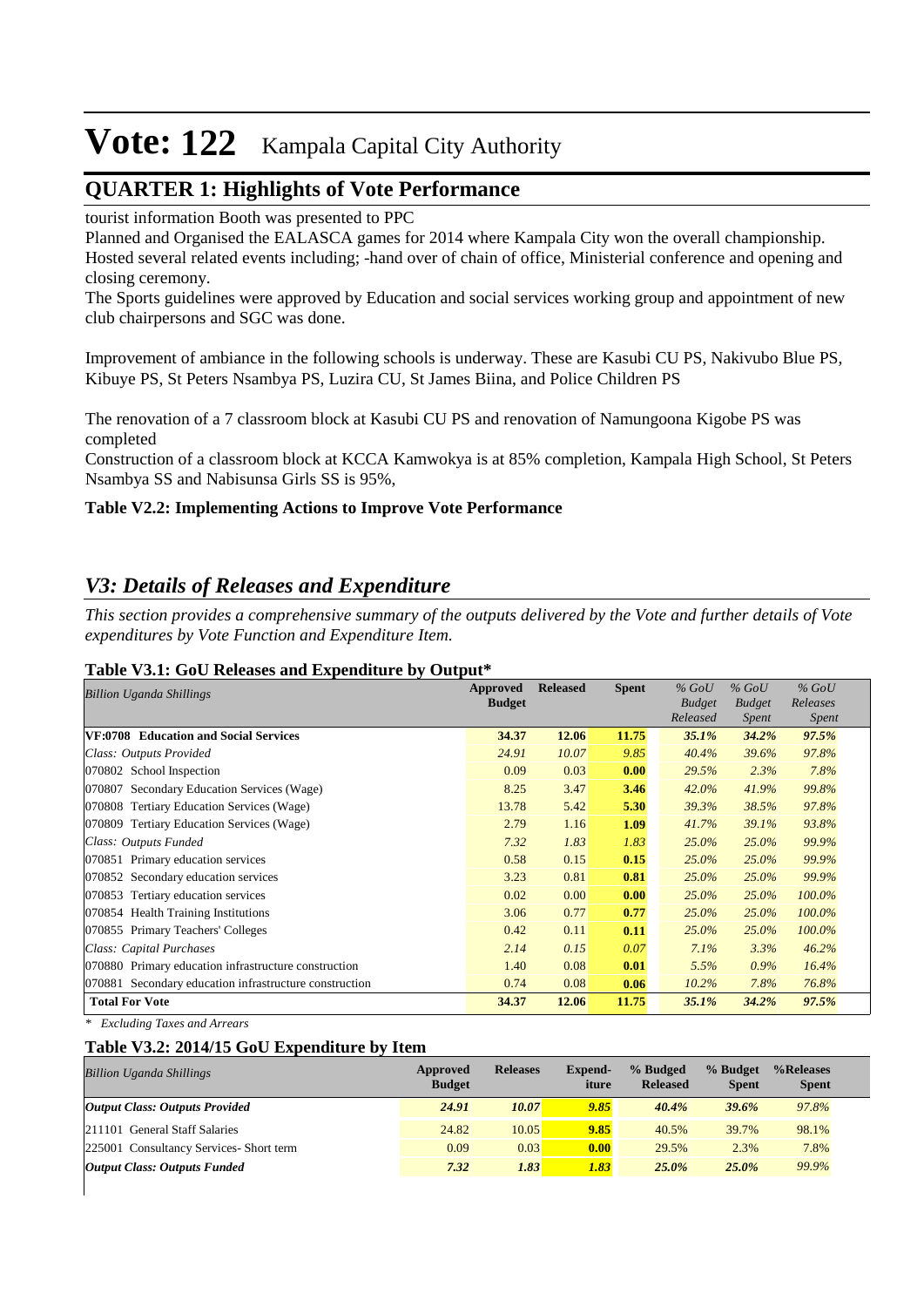### **QUARTER 1: Highlights of Vote Performance**

tourist information Booth was presented to PPC

Planned and Organised the EALASCA games for 2014 where Kampala City won the overall championship. Hosted several related events including; -hand over of chain of office, Ministerial conference and opening and closing ceremony.

The Sports guidelines were approved by Education and social services working group and appointment of new club chairpersons and SGC was done.

Improvement of ambiance in the following schools is underway. These are Kasubi CU PS, Nakivubo Blue PS, Kibuye PS, St Peters Nsambya PS, Luzira CU, St James Biina, and Police Children PS

The renovation of a 7 classroom block at Kasubi CU PS and renovation of Namungoona Kigobe PS was completed

Construction of a classroom block at KCCA Kamwokya is at 85% completion, Kampala High School, St Peters Nsambya SS and Nabisunsa Girls SS is 95%,

### **Table V2.2: Implementing Actions to Improve Vote Performance**

### *V3: Details of Releases and Expenditure*

*This section provides a comprehensive summary of the outputs delivered by the Vote and further details of Vote expenditures by Vote Function and Expenditure Item.*

#### **Table V3.1: GoU Releases and Expenditure by Output\***

| <b>Billion Uganda Shillings</b>                        | <b>Approved</b><br><b>Budget</b> | <b>Released</b> | <b>Spent</b> | $%$ GoU<br><b>Budget</b><br>Released | $%$ GoU<br><b>Budget</b><br>Spent | $%$ GoU<br>Releases<br><i>Spent</i> |
|--------------------------------------------------------|----------------------------------|-----------------|--------------|--------------------------------------|-----------------------------------|-------------------------------------|
| VF:0708 Education and Social Services                  | 34.37                            | 12.06           | 11.75        | 35.1%                                | 34.2%                             | 97.5%                               |
| Class: Outputs Provided                                | 24.91                            | 10.07           | 9.85         | 40.4%                                | 39.6%                             | 97.8%                               |
| 070802 School Inspection                               | 0.09                             | 0.03            | 0.00         | 29.5%                                | 2.3%                              | 7.8%                                |
| Secondary Education Services (Wage)<br>070807          | 8.25                             | 3.47            | 3.46         | 42.0%                                | 41.9%                             | 99.8%                               |
| <b>Tertiary Education Services (Wage)</b><br>070808    | 13.78                            | 5.42            | 5.30         | 39.3%                                | 38.5%                             | 97.8%                               |
| 070809 Tertiary Education Services (Wage)              | 2.79                             | 1.16            | 1.09         | 41.7%                                | 39.1%                             | 93.8%                               |
| Class: Outputs Funded                                  | 7.32                             | 1.83            | 1.83         | $25.0\%$                             | 25.0%                             | 99.9%                               |
| Primary education services<br>070851                   | 0.58                             | 0.15            | 0.15         | 25.0%                                | 25.0%                             | 99.9%                               |
| 070852 Secondary education services                    | 3.23                             | 0.81            | 0.81         | $25.0\%$                             | 25.0%                             | 99.9%                               |
| 070853<br>Tertiary education services                  | 0.02                             | 0.00            | 0.00         | $25.0\%$                             | 25.0%                             | 100.0%                              |
| 070854 Health Training Institutions                    | 3.06                             | 0.77            | 0.77         | 25.0%                                | 25.0%                             | 100.0%                              |
| 070855 Primary Teachers' Colleges                      | 0.42                             | 0.11            | 0.11         | 25.0%                                | 25.0%                             | 100.0%                              |
| Class: Capital Purchases                               | 2.14                             | 0.15            | 0.07         | 7.1%                                 | 3.3%                              | 46.2%                               |
| 070880 Primary education infrastructure construction   | 1.40                             | 0.08            | 0.01         | 5.5%                                 | $0.9\%$                           | 16.4%                               |
| 070881 Secondary education infrastructure construction | 0.74                             | 0.08            | 0.06         | 10.2%                                | 7.8%                              | 76.8%                               |
| <b>Total For Vote</b>                                  | 34.37                            | 12.06           | 11.75        | 35.1%                                | 34.2%                             | 97.5%                               |

*\* Excluding Taxes and Arrears*

### **Table V3.2: 2014/15 GoU Expenditure by Item**

| <b>Billion Uganda Shillings</b>         | Approved<br><b>Budget</b> | <b>Releases</b> | Expend-<br>iture | % Budged<br><b>Released</b> | % Budget<br><b>Spent</b> | %Releases<br><b>Spent</b> |
|-----------------------------------------|---------------------------|-----------------|------------------|-----------------------------|--------------------------|---------------------------|
| <b>Output Class: Outputs Provided</b>   | 24.91                     | 10.07           | 9.85             | 40.4%                       | 39.6%                    | 97.8%                     |
| 211101 General Staff Salaries           | 24.82                     | 10.05           | 9.85             | 40.5%                       | 39.7%                    | 98.1%                     |
| 225001 Consultancy Services- Short term | 0.09                      | 0.03            | 0.00             | 29.5%                       | 2.3%                     | 7.8%                      |
| <b>Output Class: Outputs Funded</b>     | 7.32                      | 1.83            | 1.83             | 25.0%                       | 25.0%                    | 99.9%                     |